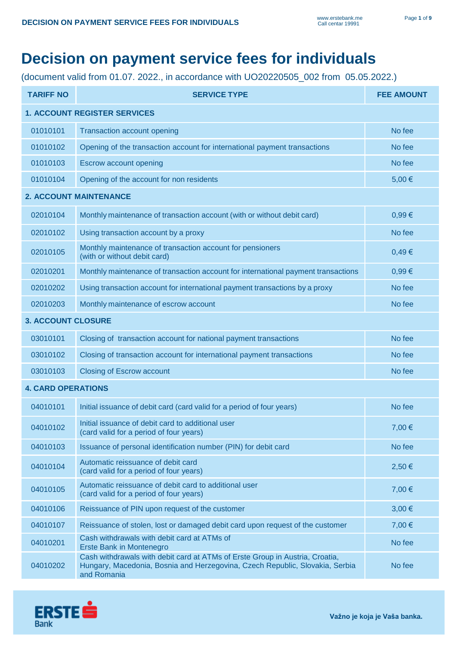## **Decision on payment service fees for individuals**

(document valid from 01.07. 2022., in accordance with UO20220505\_002 from 05.05.2022.)

| <b>TARIFF NO</b>                    | <b>SERVICE TYPE</b>                                                                                                                                                         | <b>FEE AMOUNT</b> |
|-------------------------------------|-----------------------------------------------------------------------------------------------------------------------------------------------------------------------------|-------------------|
| <b>1. ACCOUNT REGISTER SERVICES</b> |                                                                                                                                                                             |                   |
| 01010101                            | <b>Transaction account opening</b>                                                                                                                                          | No fee            |
| 01010102                            | Opening of the transaction account for international payment transactions                                                                                                   | No fee            |
| 01010103                            | <b>Escrow account opening</b>                                                                                                                                               | No fee            |
| 01010104                            | Opening of the account for non residents                                                                                                                                    | 5,00€             |
|                                     | <b>2. ACCOUNT MAINTENANCE</b>                                                                                                                                               |                   |
| 02010104                            | Monthly maintenance of transaction account (with or without debit card)                                                                                                     | 0,99€             |
| 02010102                            | Using transaction account by a proxy                                                                                                                                        | No fee            |
| 02010105                            | Monthly maintenance of transaction account for pensioners<br>(with or without debit card)                                                                                   | 0,49€             |
| 02010201                            | Monthly maintenance of transaction account for international payment transactions                                                                                           | 0,99€             |
| 02010202                            | Using transaction account for international payment transactions by a proxy                                                                                                 | No fee            |
| 02010203                            | Monthly maintenance of escrow account                                                                                                                                       | No fee            |
| <b>3. ACCOUNT CLOSURE</b>           |                                                                                                                                                                             |                   |
| 03010101                            | Closing of transaction account for national payment transactions                                                                                                            | No fee            |
| 03010102                            | Closing of transaction account for international payment transactions                                                                                                       | No fee            |
| 03010103                            | <b>Closing of Escrow account</b>                                                                                                                                            | No fee            |
| <b>4. CARD OPERATIONS</b>           |                                                                                                                                                                             |                   |
| 04010101                            | Initial issuance of debit card (card valid for a period of four years)                                                                                                      | No fee            |
| 04010102                            | Initial issuance of debit card to additional user<br>(card valid for a period of four years)                                                                                | 7,00 €            |
| 04010103                            | Issuance of personal identification number (PIN) for debit card                                                                                                             | No fee            |
| 04010104                            | Automatic reissuance of debit card<br>(card valid for a period of four years)                                                                                               | 2,50 €            |
| 04010105                            | Automatic reissuance of debit card to additional user<br>(card valid for a period of four years)                                                                            | 7,00 €            |
| 04010106                            | Reissuance of PIN upon request of the customer                                                                                                                              | 3,00 €            |
| 04010107                            | Reissuance of stolen, lost or damaged debit card upon request of the customer                                                                                               | 7,00 €            |
| 04010201                            | Cash withdrawals with debit card at ATMs of<br>Erste Bank in Montenegro                                                                                                     | No fee            |
| 04010202                            | Cash withdrawals with debit card at ATMs of Erste Group in Austria, Croatia,<br>Hungary, Macedonia, Bosnia and Herzegovina, Czech Republic, Slovakia, Serbia<br>and Romania | No fee            |

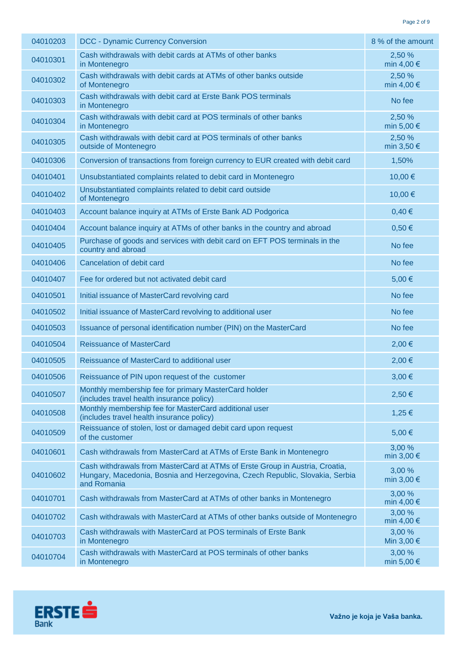| 04010203 | <b>DCC - Dynamic Currency Conversion</b>                                                                                                                                    | 8 % of the amount             |
|----------|-----------------------------------------------------------------------------------------------------------------------------------------------------------------------------|-------------------------------|
| 04010301 | Cash withdrawals with debit cards at ATMs of other banks<br>in Montenegro                                                                                                   | 2,50 %<br>min 4,00 $\in$      |
| 04010302 | Cash withdrawals with debit cards at ATMs of other banks outside<br>of Montenegro                                                                                           | 2,50 %<br>min 4,00 $\in$      |
| 04010303 | Cash withdrawals with debit card at Erste Bank POS terminals<br>in Montenegro                                                                                               | No fee                        |
| 04010304 | Cash withdrawals with debit card at POS terminals of other banks<br>in Montenegro                                                                                           | 2,50 %<br>min 5,00 $\epsilon$ |
| 04010305 | Cash withdrawals with debit card at POS terminals of other banks<br>outside of Montenegro                                                                                   | 2,50 %<br>min $3,50 \in$      |
| 04010306 | Conversion of transactions from foreign currency to EUR created with debit card                                                                                             | 1,50%                         |
| 04010401 | Unsubstantiated complaints related to debit card in Montenegro                                                                                                              | 10,00€                        |
| 04010402 | Unsubstantiated complaints related to debit card outside<br>of Montenegro                                                                                                   | 10,00€                        |
| 04010403 | Account balance inquiry at ATMs of Erste Bank AD Podgorica                                                                                                                  | 0,40€                         |
| 04010404 | Account balance inquiry at ATMs of other banks in the country and abroad                                                                                                    | $0,50 \in$                    |
| 04010405 | Purchase of goods and services with debit card on EFT POS terminals in the<br>country and abroad                                                                            | No fee                        |
| 04010406 | Cancelation of debit card                                                                                                                                                   | No fee                        |
| 04010407 | Fee for ordered but not activated debit card                                                                                                                                | 5,00€                         |
| 04010501 | Initial issuance of MasterCard revolving card                                                                                                                               | No fee                        |
| 04010502 | Initial issuance of MasterCard revolving to additional user                                                                                                                 | No fee                        |
| 04010503 | Issuance of personal identification number (PIN) on the MasterCard                                                                                                          | No fee                        |
| 04010504 | <b>Reissuance of MasterCard</b>                                                                                                                                             | 2,00 €                        |
| 04010505 | Reissuance of MasterCard to additional user                                                                                                                                 | 2,00 €                        |
| 04010506 | Reissuance of PIN upon request of the customer                                                                                                                              | 3,00 €                        |
| 04010507 | Monthly membership fee for primary MasterCard holder<br>(includes travel health insurance policy)                                                                           | 2,50€                         |
| 04010508 | Monthly membership fee for MasterCard additional user<br>(includes travel health insurance policy)                                                                          | 1,25 €                        |
| 04010509 | Reissuance of stolen, lost or damaged debit card upon request<br>of the customer                                                                                            | 5,00€                         |
| 04010601 | Cash withdrawals from MasterCard at ATMs of Erste Bank in Montenegro                                                                                                        | 3,00 %<br>min $3,00 \in$      |
| 04010602 | Cash withdrawals from MasterCard at ATMs of Erste Group in Austria, Croatia,<br>Hungary, Macedonia, Bosnia and Herzegovina, Czech Republic, Slovakia, Serbia<br>and Romania | 3,00 %<br>min $3,00 \in$      |
| 04010701 | Cash withdrawals from MasterCard at ATMs of other banks in Montenegro                                                                                                       | 3,00 %<br>min 4,00 $\in$      |
| 04010702 | Cash withdrawals with MasterCard at ATMs of other banks outside of Montenegro                                                                                               | 3,00 %<br>min 4,00 $\in$      |
| 04010703 | Cash withdrawals with MasterCard at POS terminals of Erste Bank<br>in Montenegro                                                                                            | 3,00 %<br>Min $3,00 \in$      |
| 04010704 | Cash withdrawals with MasterCard at POS terminals of other banks<br>in Montenegro                                                                                           | 3,00 %<br>min 5,00 $\in$      |

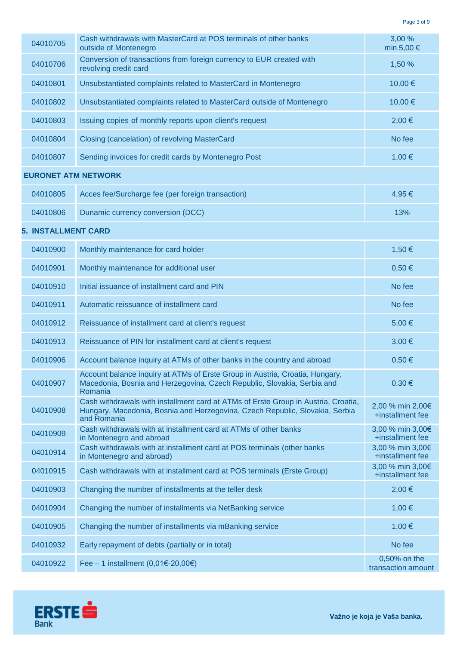| 04010705                   | Cash withdrawals with MasterCard at POS terminals of other banks<br>outside of Montenegro                                                                                         | 3,00 %<br>min 5,00 €                 |
|----------------------------|-----------------------------------------------------------------------------------------------------------------------------------------------------------------------------------|--------------------------------------|
| 04010706                   | Conversion of transactions from foreign currency to EUR created with<br>revolving credit card                                                                                     | 1,50 %                               |
| 04010801                   | Unsubstantiated complaints related to MasterCard in Montenegro                                                                                                                    | 10,00€                               |
| 04010802                   | Unsubstantiated complaints related to MasterCard outside of Montenegro                                                                                                            | 10,00€                               |
| 04010803                   | Issuing copies of monthly reports upon client's request                                                                                                                           | 2,00 €                               |
| 04010804                   | Closing (cancelation) of revolving MasterCard                                                                                                                                     | No fee                               |
| 04010807                   | Sending invoices for credit cards by Montenegro Post                                                                                                                              | 1,00 €                               |
| <b>EURONET ATM NETWORK</b> |                                                                                                                                                                                   |                                      |
| 04010805                   | Acces fee/Surcharge fee (per foreign transaction)                                                                                                                                 | 4,95€                                |
| 04010806                   | Dunamic currency conversion (DCC)                                                                                                                                                 | 13%                                  |
| <b>5. INSTALLMENT CARD</b> |                                                                                                                                                                                   |                                      |
| 04010900                   | Monthly maintenance for card holder                                                                                                                                               | 1,50 €                               |
| 04010901                   | Monthly maintenance for additional user                                                                                                                                           | $0,50 \in$                           |
| 04010910                   | Initial issuance of installment card and PIN                                                                                                                                      | No fee                               |
| 04010911                   | Automatic reissuance of installment card                                                                                                                                          | No fee                               |
| 04010912                   | Reissuance of installment card at client's request                                                                                                                                | 5,00€                                |
| 04010913                   | Reissuance of PIN for installment card at client's request                                                                                                                        | 3,00 €                               |
| 04010906                   | Account balance inquiry at ATMs of other banks in the country and abroad                                                                                                          | $0,50 \in$                           |
| 04010907                   | Account balance inquiry at ATMs of Erste Group in Austria, Croatia, Hungary,<br>Macedonia, Bosnia and Herzegovina, Czech Republic, Slovakia, Serbia and<br>Romania                | 0,30€                                |
| 04010908                   | Cash withdrawals with installment card at ATMs of Erste Group in Austria, Croatia,<br>Hungary, Macedonia, Bosnia and Herzegovina, Czech Republic, Slovakia, Serbia<br>and Romania | 2,00 % min 2,00€<br>+installment fee |
| 04010909                   | Cash withdrawals with at installment card at ATMs of other banks<br>in Montenegro and abroad                                                                                      | 3,00 % min 3,00€<br>+installment fee |
| 04010914                   | Cash withdrawals with at installment card at POS terminals (other banks<br>in Montenegro and abroad)                                                                              | 3,00 % min 3,00€<br>+installment fee |
| 04010915                   | Cash withdrawals with at installment card at POS terminals (Erste Group)                                                                                                          | 3,00 % min 3,00€<br>+installment fee |
| 04010903                   | Changing the number of installments at the teller desk                                                                                                                            | 2,00 €                               |
| 04010904                   | Changing the number of installments via NetBanking service                                                                                                                        | 1,00 €                               |
| 04010905                   | Changing the number of installments via mBanking service                                                                                                                          | 1,00 €                               |
| 04010932                   | Early repayment of debts (partially or in total)                                                                                                                                  | No fee                               |
| 04010922                   | Fee – 1 installment (0,01€-20,00€)                                                                                                                                                | 0,50% on the<br>transaction amount   |

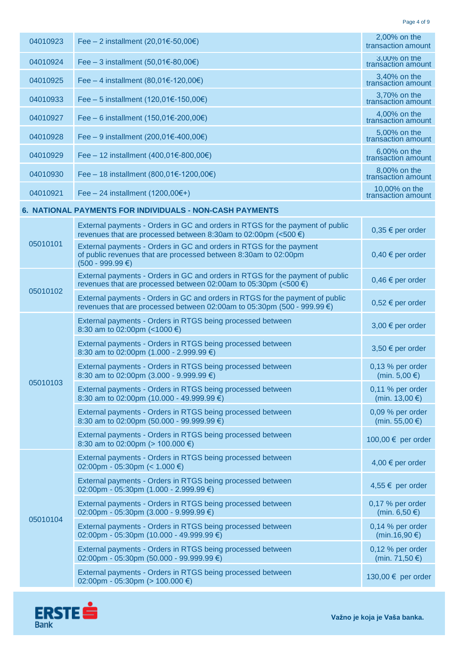Page 4 of 9

| 04010923 | Fee – 2 installment (20,01€-50,00€)                                                                                                                                 | 2,00% on the<br>transaction amount   |
|----------|---------------------------------------------------------------------------------------------------------------------------------------------------------------------|--------------------------------------|
| 04010924 | Fee – 3 installment (50,01€-80,00€)                                                                                                                                 | 3,00% on the<br>transaction amount   |
| 04010925 | Fee – 4 installment (80,01€-120,00€)                                                                                                                                | 3,40% on the<br>transaction amount   |
| 04010933 | Fee – 5 installment (120,01€-150,00€)                                                                                                                               | 3,70% on the<br>transaction amount   |
| 04010927 | Fee – 6 installment (150,01€-200,00€)                                                                                                                               | 4,00% on the<br>transaction amount   |
| 04010928 | Fee – 9 installment (200,01€-400,00€)                                                                                                                               | 5,00% on the<br>transaction amount   |
| 04010929 | Fee - 12 installment (400,01€-800,00€)                                                                                                                              | 6,00% on the<br>transaction amount   |
| 04010930 | Fee - 18 installment (800,01€-1200,00€)                                                                                                                             | 8,00% on the<br>transaction amount   |
| 04010921 | Fee $-24$ installment (1200,00 $\epsilon$ +)                                                                                                                        | 10,00% on the<br>transaction amount  |
|          | 6. NATIONAL PAYMENTS FOR INDIVIDUALS - NON-CASH PAYMENTS                                                                                                            |                                      |
|          | External payments - Orders in GC and orders in RTGS for the payment of public<br>revenues that are processed between 8:30am to 02:00pm (<500 $\epsilon$ )           | $0,35 \in$ per order                 |
| 05010101 | External payments - Orders in GC and orders in RTGS for the payment<br>of public revenues that are processed between 8:30am to 02:00pm<br>$(500 - 999.99 \text{€})$ | $0,40 \in$ per order                 |
|          | External payments - Orders in GC and orders in RTGS for the payment of public<br>revenues that are processed between 02:00am to 05:30pm (<500 $\epsilon$ )          | $0,46 \in$ per order                 |
| 05010102 | External payments - Orders in GC and orders in RTGS for the payment of public<br>revenues that are processed between 02:00am to 05:30pm (500 - 999.99 €)            | $0,52 \in$ per order                 |
|          | External payments - Orders in RTGS being processed between<br>8:30 am to 02:00pm (<1000 $\epsilon$ )                                                                | $3,00 \in$ per order                 |
|          | External payments - Orders in RTGS being processed between<br>8:30 am to 02:00pm (1.000 - 2.999.99 $\epsilon$ )                                                     | 3,50 € per order                     |
|          | External payments - Orders in RTGS being processed between<br>8:30 am to 02:00pm (3.000 - 9.999.99 $\epsilon$ )                                                     | 0,13 % per order<br>(min. 5,00 €)    |
| 05010103 | External payments - Orders in RTGS being processed between<br>8:30 am to 02:00pm (10.000 - 49.999.99 $\epsilon$ )                                                   | 0,11 % per order<br>(min. 13,00 €)   |
|          | External payments - Orders in RTGS being processed between<br>8:30 am to 02:00pm (50.000 - 99.999.99 $\epsilon$ )                                                   | 0,09 % per order<br>(min. 55,00 €)   |
|          | External payments - Orders in RTGS being processed between<br>8:30 am to 02:00pm ( $> 100.000 \in$ )                                                                | 100,00 € per order                   |
|          | External payments - Orders in RTGS being processed between<br>02:00pm - 05:30pm (< 1.000 €)                                                                         | 4,00 € per order                     |
|          | External payments - Orders in RTGS being processed between<br>02:00pm - 05:30pm (1.000 - 2.999.99 €)                                                                | 4,55 € per order                     |
| 05010104 | External payments - Orders in RTGS being processed between<br>02:00pm - 05:30pm (3.000 - 9.999.99 €)                                                                | 0,17 % per order<br>(min. 6,50 €)    |
|          | External payments - Orders in RTGS being processed between<br>02:00pm - 05:30pm (10.000 - 49.999.99 €)                                                              | 0,14 % per order<br>(min.16,90 €)    |
|          | External payments - Orders in RTGS being processed between<br>02:00pm - 05:30pm (50.000 - 99.999.99 €)                                                              | $0,12$ % per order<br>(min. 71,50 €) |
|          | External payments - Orders in RTGS being processed between<br>02:00pm - 05:30pm (> 100.000 €)                                                                       | 130,00 € per order                   |



**Važno je koja je Vaša banka.**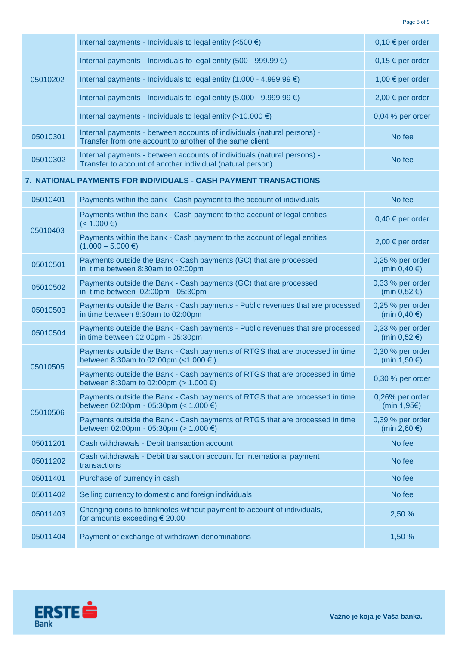| 05010202 | Internal payments - Individuals to legal entity ( $<$ 500 €)                                                                          | $0,10 \in$ per order                              |
|----------|---------------------------------------------------------------------------------------------------------------------------------------|---------------------------------------------------|
|          | Internal payments - Individuals to legal entity (500 - 999.99 $\epsilon$ )                                                            | $0,15 \in$ per order                              |
|          | Internal payments - Individuals to legal entity (1.000 - 4.999.99 $\epsilon$ )                                                        | 1,00 € per order                                  |
|          | Internal payments - Individuals to legal entity (5.000 - 9.999.99 $\epsilon$ )                                                        | 2,00 € per order                                  |
|          | Internal payments - Individuals to legal entity (>10.000 $\epsilon$ )                                                                 | 0,04 % per order                                  |
| 05010301 | Internal payments - between accounts of individuals (natural persons) -<br>Transfer from one account to another of the same client    | No fee                                            |
| 05010302 | Internal payments - between accounts of individuals (natural persons) -<br>Transfer to account of another individual (natural person) | No fee                                            |
|          | 7. NATIONAL PAYMENTS FOR INDIVIDUALS - CASH PAYMENT TRANSACTIONS                                                                      |                                                   |
| 05010401 | Payments within the bank - Cash payment to the account of individuals                                                                 | No fee                                            |
| 05010403 | Payments within the bank - Cash payment to the account of legal entities<br>(< 1.000 ∈)                                               | $0,40 \in$ per order                              |
|          | Payments within the bank - Cash payment to the account of legal entities<br>$(1.000 - 5.000 \in )$                                    | 2,00 € per order                                  |
| 05010501 | Payments outside the Bank - Cash payments (GC) that are processed<br>in time between 8:30am to 02:00pm                                | 0,25 % per order<br>(min $0,40 \in$ )             |
| 05010502 | Payments outside the Bank - Cash payments (GC) that are processed<br>in time between 02:00pm - 05:30pm                                | 0,33 % per order<br>(min $0,52 \in \mathcal{E}$ ) |
| 05010503 | Payments outside the Bank - Cash payments - Public revenues that are processed<br>in time between 8:30am to 02:00pm                   | 0,25 % per order<br>(min $0,40 \in$ )             |
| 05010504 | Payments outside the Bank - Cash payments - Public revenues that are processed<br>in time between 02:00pm - 05:30pm                   | 0,33 % per order<br>(min $0,52 \in$ )             |
|          | Payments outside the Bank - Cash payments of RTGS that are processed in time<br>between 8:30am to 02:00pm (< $1.000 \in$ )            | 0,30 % per order<br>(min 1,50 €)                  |
| 05010505 | Payments outside the Bank - Cash payments of RTGS that are processed in time<br>between 8:30am to 02:00pm (> 1.000 €)                 | 0,30 % per order                                  |
|          | Payments outside the Bank - Cash payments of RTGS that are processed in time<br>between 02:00pm - 05:30pm (< $1.000 \in$ )            | 0,26% per order<br>(min $1,95 \in$ )              |
| 05010506 | Payments outside the Bank - Cash payments of RTGS that are processed in time<br>between 02:00pm - 05:30pm (> 1.000 €)                 | 0,39 % per order<br>(min 2,60 $\epsilon$ )        |
| 05011201 | Cash withdrawals - Debit transaction account                                                                                          | No fee                                            |
| 05011202 | Cash withdrawals - Debit transaction account for international payment<br>transactions                                                | No fee                                            |
| 05011401 | Purchase of currency in cash                                                                                                          | No fee                                            |
| 05011402 | Selling currency to domestic and foreign individuals                                                                                  | No fee                                            |
| 05011403 | Changing coins to banknotes without payment to account of individuals,<br>for amounts exceeding $\epsilon$ 20.00                      | 2,50 %                                            |
| 05011404 | Payment or exchange of withdrawn denominations                                                                                        | 1,50 %                                            |



**Važno je koja je Vaša banka.**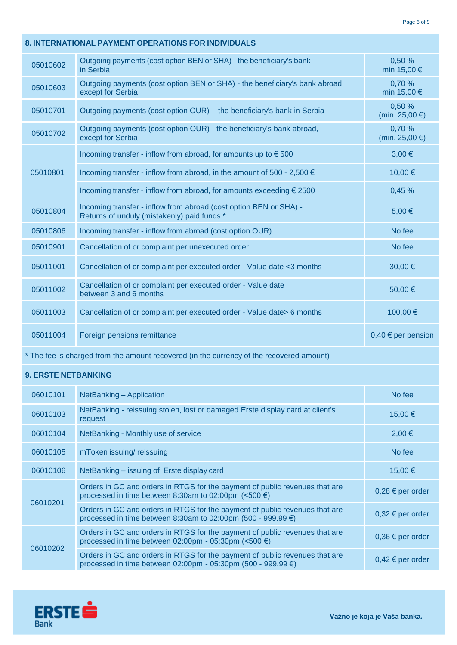| 8. INTERNATIONAL PAYMENT OPERATIONS FOR INDIVIDUALS |                                                                                                                  |                          |
|-----------------------------------------------------|------------------------------------------------------------------------------------------------------------------|--------------------------|
| 05010602                                            | Outgoing payments (cost option BEN or SHA) - the beneficiary's bank<br>in Serbia                                 | 0,50 %<br>min 15,00 €    |
| 05010603                                            | Outgoing payments (cost option BEN or SHA) - the beneficiary's bank abroad,<br>except for Serbia                 | 0,70 %<br>min 15,00 €    |
| 05010701                                            | Outgoing payments (cost option OUR) - the beneficiary's bank in Serbia                                           | 0,50 %<br>(min. 25,00 €) |
| 05010702                                            | Outgoing payments (cost option OUR) - the beneficiary's bank abroad,<br>except for Serbia                        | 0,70 %<br>(min. 25,00 €) |
|                                                     | Incoming transfer - inflow from abroad, for amounts up to $\epsilon$ 500                                         | $3,00 \in$               |
| 05010801                                            | Incoming transfer - inflow from abroad, in the amount of 500 - 2,500 $\in$                                       | 10,00€                   |
|                                                     | Incoming transfer - inflow from abroad, for amounts exceeding € 2500                                             | 0,45%                    |
| 05010804                                            | Incoming transfer - inflow from abroad (cost option BEN or SHA) -<br>Returns of unduly (mistakenly) paid funds * | 5,00 €                   |
| 05010806                                            | Incoming transfer - inflow from abroad (cost option OUR)                                                         | No fee                   |
| 05010901                                            | Cancellation of or complaint per unexecuted order                                                                | No fee                   |
| 05011001                                            | Cancellation of or complaint per executed order - Value date <3 months                                           | 30,00€                   |
| 05011002                                            | Cancellation of or complaint per executed order - Value date<br>between 3 and 6 months                           | 50,00€                   |
| 05011003                                            | Cancellation of or complaint per executed order - Value date> 6 months                                           | 100,00€                  |
| 05011004                                            | Foreign pensions remittance                                                                                      | $0,40 \in$ per pension   |
|                                                     | * The fee is charged from the amount recovered (in the currency of the recovered amount)                         |                          |
| <b>9. ERSTE NETBANKING</b>                          |                                                                                                                  |                          |
| 06010101                                            | NetBanking - Application                                                                                         | No fee                   |
| 06010103                                            | NetBanking - reissuing stolen, lost or damaged Erste display card at client's<br>request                         | 15,00€                   |
| 06010104                                            | NetBanking - Monthly use of service                                                                              | 2,00 €                   |
| 06010105                                            | mToken issuing/reissuing                                                                                         | No fee                   |
| 06010106                                            | NetBanking - issuing of Erste display card                                                                       | 15,00€                   |

| 06010106 | NetBanking – issuing of Erste display card                                                                                                  | $15.00 \in$          |
|----------|---------------------------------------------------------------------------------------------------------------------------------------------|----------------------|
| 06010201 | Orders in GC and orders in RTGS for the payment of public revenues that are<br>processed in time between 8:30am to 02:00pm (<500 €)         | $0,28 \in$ per order |
|          | Orders in GC and orders in RTGS for the payment of public revenues that are<br>processed in time between 8:30am to 02:00pm (500 - 999.99 €) | $0,32 \in$ per order |
| 06010202 | Orders in GC and orders in RTGS for the payment of public revenues that are<br>processed in time between 02:00pm - 05:30pm (<500 €)         | $0,36 \in$ per order |
|          | Orders in GC and orders in RTGS for the payment of public revenues that are<br>processed in time between 02:00pm - 05:30pm (500 - 999.99 €) | $0,42 \in$ per order |



**Važno je koja je Vaša banka.**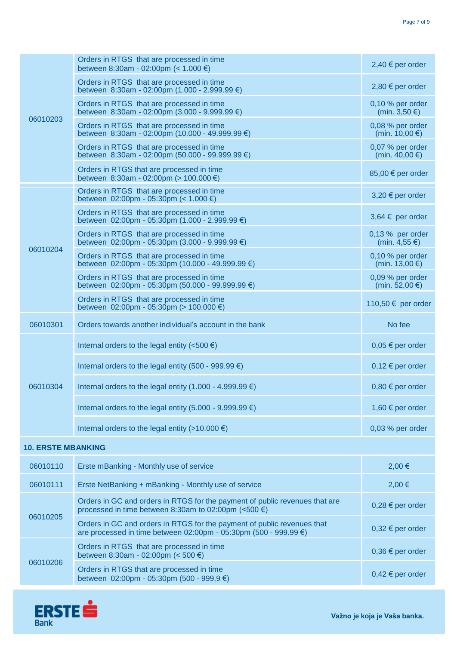| 06010203                  | Orders in RTGS that are processed in time<br>between 8:30am - 02:00pm (< $1.000 \in$ )                                                      | 2,40 € per order                        |
|---------------------------|---------------------------------------------------------------------------------------------------------------------------------------------|-----------------------------------------|
|                           | Orders in RTGS that are processed in time<br>between 8:30am - 02:00pm (1.000 - 2.999.99 €)                                                  | 2,80 € per order                        |
|                           | Orders in RTGS that are processed in time<br>between 8:30am - 02:00pm (3.000 - 9.999.99 $\epsilon$ )                                        | $0,10%$ per order<br>(min. 3,50 €)      |
|                           | Orders in RTGS that are processed in time<br>between 8:30am - 02:00pm (10.000 - 49.999.99 €)                                                | 0,08 % per order<br>(min. $10,00 \in$ ) |
|                           | Orders in RTGS that are processed in time<br>between 8:30am - 02:00pm (50.000 - 99.999.99 €)                                                | 0,07 % per order<br>(min. 40,00 €)      |
|                           | Orders in RTGS that are processed in time<br>between 8:30am - 02:00pm (> 100.000 €)                                                         | 85,00 € per order                       |
|                           | Orders in RTGS that are processed in time<br>between 02:00pm - 05:30pm (< $1.000 \in$ )                                                     | $3,20 \in$ per order                    |
|                           | Orders in RTGS that are processed in time<br>between $02:00 \text{pm} - 05:30 \text{pm}$ (1.000 - 2.999.99 €)                               | $3,64 \in$ per order                    |
|                           | Orders in RTGS that are processed in time<br>between 02:00pm - 05:30pm (3.000 - 9.999.99 $\epsilon$ )                                       | 0,13 % per order<br>(min. 4,55 €)       |
| 06010204                  | Orders in RTGS that are processed in time<br>between 02:00pm - 05:30pm (10.000 - 49.999.99 €)                                               | 0,10 % per order<br>(min. 13,00 €)      |
|                           | Orders in RTGS that are processed in time<br>between 02:00pm - 05:30pm (50.000 - 99.999.99 $\epsilon$ )                                     | 0,09 % per order<br>(min. 52,00 €)      |
|                           | Orders in RTGS that are processed in time<br>between 02:00pm - 05:30pm (> 100.000 €)                                                        | 110,50 € per order                      |
| 06010301                  | Orders towards another individual's account in the bank                                                                                     | No fee                                  |
|                           | Internal orders to the legal entity (<500 $\epsilon$ )                                                                                      | $0,05 \in per$ order                    |
|                           | Internal orders to the legal entity (500 - 999.99 $\epsilon$ )                                                                              | $0,12 \in$ per order                    |
| 06010304                  | Internal orders to the legal entity (1.000 - 4.999.99 $\epsilon$ )                                                                          | $0,80 \in$ per order                    |
|                           | Internal orders to the legal entity (5.000 - 9.999.99 $\epsilon$ )                                                                          | 1,60 € per order                        |
|                           | Internal orders to the legal entity (>10.000 $\epsilon$ )                                                                                   | 0,03 % per order                        |
| <b>10. ERSTE MBANKING</b> |                                                                                                                                             |                                         |
|                           |                                                                                                                                             |                                         |
| 06010110                  | Erste mBanking - Monthly use of service                                                                                                     | 2,00 €                                  |
| 06010111                  | Erste NetBanking + mBanking - Monthly use of service                                                                                        | 2,00 €                                  |
|                           | Orders in GC and orders in RTGS for the payment of public revenues that are<br>processed in time between 8:30am to 02:00pm (<500 €)         | $0,28 \in$ per order                    |
| 06010205                  | Orders in GC and orders in RTGS for the payment of public revenues that<br>are processed in time between 02:00pm - 05:30pm (500 - 999.99 €) | $0,32 \in$ per order                    |
| 06010206                  | Orders in RTGS that are processed in time<br>between 8:30am - 02:00pm (< 500 €)                                                             | $0,36 \in$ per order                    |

Orders in RTGS that are processed in time<br>between  $02:00\text{pm}$  - 05:30pm (500 - 999,9 €) 0,42 € per order

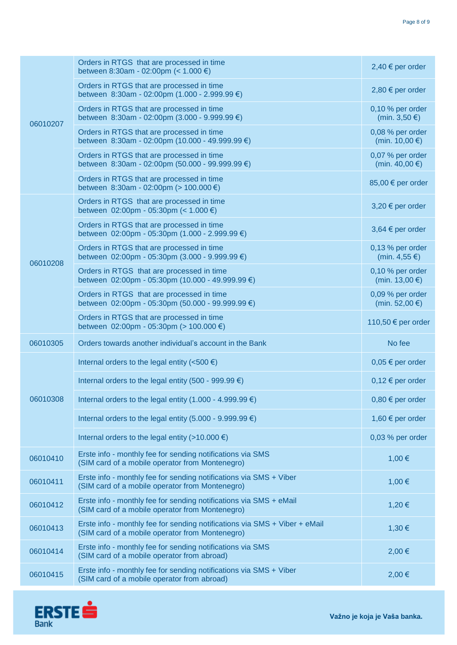| 06010207 | Orders in RTGS that are processed in time<br>between 8:30am - 02:00pm (< $1.000 \in$ )                                        | 2,40 € per order                    |
|----------|-------------------------------------------------------------------------------------------------------------------------------|-------------------------------------|
|          | Orders in RTGS that are processed in time<br>between 8:30am - 02:00pm (1.000 - 2.999.99 €)                                    | 2,80 € per order                    |
|          | Orders in RTGS that are processed in time<br>between 8:30am - 02:00pm (3.000 - 9.999.99 €)                                    | 0,10 % per order<br>(min. 3,50 €)   |
|          | Orders in RTGS that are processed in time<br>between 8:30am - 02:00pm (10.000 - 49.999.99 €)                                  | 0,08 % per order<br>(min. 10,00 €)  |
|          | Orders in RTGS that are processed in time<br>between 8:30am - 02:00pm (50.000 - 99.999.99 €)                                  | 0,07 % per order<br>(min. 40,00 €)  |
|          | Orders in RTGS that are processed in time<br>between 8:30am - 02:00pm (> 100.000 €)                                           | 85,00 € per order                   |
|          | Orders in RTGS that are processed in time<br>between 02:00pm - 05:30pm (< $1.000 \in$ )                                       | 3,20 € per order                    |
|          | Orders in RTGS that are processed in time<br>between 02:00pm - 05:30pm (1.000 - 2.999.99 €)                                   | 3,64 € per order                    |
| 06010208 | Orders in RTGS that are processed in time<br>between $02:00$ pm - 05:30pm (3.000 - 9.999.99 €)                                | 0,13 % per order<br>(min. 4,55 €)   |
|          | Orders in RTGS that are processed in time<br>between 02:00pm - 05:30pm (10.000 - 49.999.99 €)                                 | $0,10%$ per order<br>(min. 13,00 €) |
|          | Orders in RTGS that are processed in time<br>between 02:00pm - 05:30pm (50.000 - 99.999.99 €)                                 | $0,09%$ per order<br>(min. 52,00 €) |
|          | Orders in RTGS that are processed in time<br>between 02:00pm - 05:30pm (> 100.000 €)                                          | 110,50 € per order                  |
| 06010305 | Orders towards another individual's account in the Bank                                                                       | No fee                              |
|          | Internal orders to the legal entity (<500 $\epsilon$ )                                                                        | $0,05 \in per$ order                |
|          | Internal orders to the legal entity (500 - 999.99 $\epsilon$ )                                                                | $0,12 \in$ per order                |
| 06010308 | Internal orders to the legal entity (1.000 - 4.999.99 $\epsilon$ )                                                            | $0,80 \in$ per order                |
|          | Internal orders to the legal entity (5.000 - 9.999.99 $\epsilon$ )                                                            | 1,60 € per order                    |
|          | Internal orders to the legal entity (>10.000 $\epsilon$ )                                                                     | 0,03 % per order                    |
| 06010410 | Erste info - monthly fee for sending notifications via SMS<br>(SIM card of a mobile operator from Montenegro)                 | 1,00 €                              |
| 06010411 | Erste info - monthly fee for sending notifications via SMS + Viber<br>(SIM card of a mobile operator from Montenegro)         | 1,00 €                              |
| 06010412 | Erste info - monthly fee for sending notifications via SMS + eMail<br>(SIM card of a mobile operator from Montenegro)         | 1,20 €                              |
| 06010413 | Erste info - monthly fee for sending notifications via SMS + Viber + eMail<br>(SIM card of a mobile operator from Montenegro) | 1,30 €                              |
| 06010414 | Erste info - monthly fee for sending notifications via SMS<br>(SIM card of a mobile operator from abroad)                     | 2,00 €                              |
| 06010415 | Erste info - monthly fee for sending notifications via SMS + Viber<br>(SIM card of a mobile operator from abroad)             | 2,00 €                              |